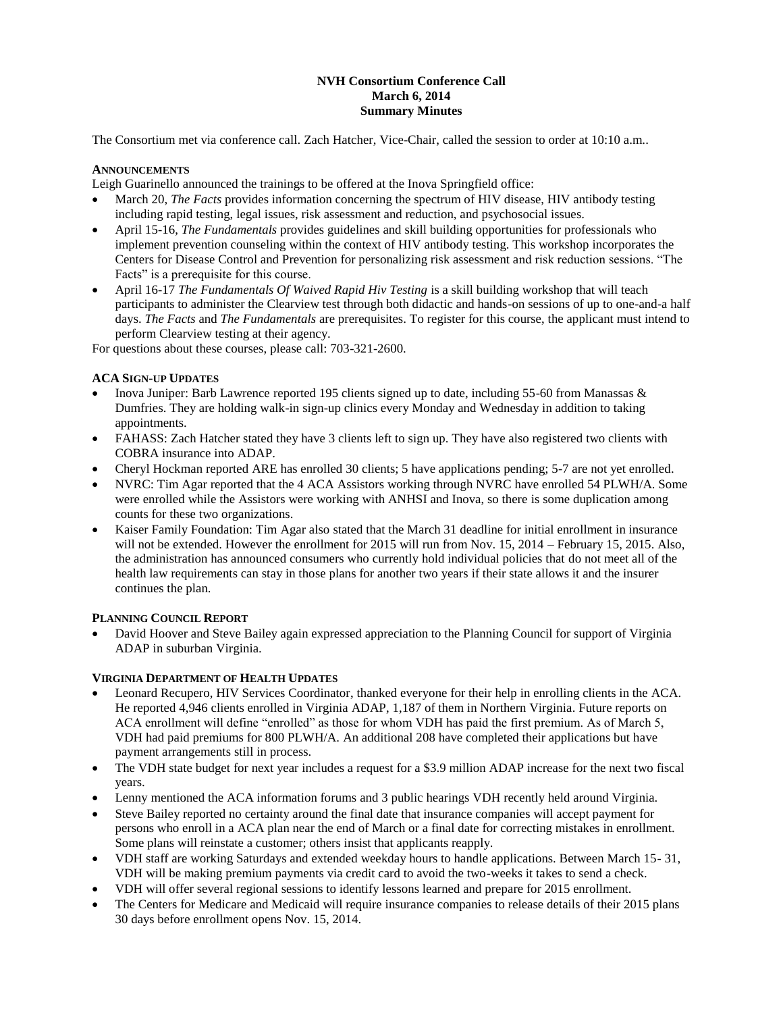# **NVH Consortium Conference Call March 6, 2014 Summary Minutes**

The Consortium met via conference call. Zach Hatcher, Vice-Chair, called the session to order at 10:10 a.m..

## **ANNOUNCEMENTS**

Leigh Guarinello announced the trainings to be offered at the Inova Springfield office:

- March 20, *The Facts* provides information concerning the spectrum of HIV disease, HIV antibody testing including rapid testing, legal issues, risk assessment and reduction, and psychosocial issues.
- April 15-16, *The Fundamentals* provides guidelines and skill building opportunities for professionals who implement prevention counseling within the context of HIV antibody testing. This workshop incorporates the Centers for Disease Control and Prevention for personalizing risk assessment and risk reduction sessions. "The Facts" is a prerequisite for this course.
- April 16-17 *The Fundamentals Of Waived Rapid Hiv Testing* is a skill building workshop that will teach participants to administer the Clearview test through both didactic and hands-on sessions of up to one-and-a half days. *The Facts* and *The Fundamentals* are prerequisites. To register for this course, the applicant must intend to perform Clearview testing at their agency.

For questions about these courses, please call: 703-321-2600.

# **ACA SIGN-UP UPDATES**

- Inova Juniper: Barb Lawrence reported 195 clients signed up to date, including 55-60 from Manassas & Dumfries. They are holding walk-in sign-up clinics every Monday and Wednesday in addition to taking appointments.
- FAHASS: Zach Hatcher stated they have 3 clients left to sign up. They have also registered two clients with COBRA insurance into ADAP.
- Cheryl Hockman reported ARE has enrolled 30 clients; 5 have applications pending; 5-7 are not yet enrolled.
- NVRC: Tim Agar reported that the 4 ACA Assistors working through NVRC have enrolled 54 PLWH/A. Some were enrolled while the Assistors were working with ANHSI and Inova, so there is some duplication among counts for these two organizations.
- Kaiser Family Foundation: Tim Agar also stated that the March 31 deadline for initial enrollment in insurance will not be extended. However the enrollment for 2015 will run from Nov. 15, 2014 – February 15, 2015. Also, the administration has announced consumers who currently hold individual policies that do not meet all of the health law requirements can stay in those plans for another two years if their state allows it and the insurer continues the plan.

### **PLANNING COUNCIL REPORT**

 David Hoover and Steve Bailey again expressed appreciation to the Planning Council for support of Virginia ADAP in suburban Virginia.

# **VIRGINIA DEPARTMENT OF HEALTH UPDATES**

- Leonard Recupero, HIV Services Coordinator, thanked everyone for their help in enrolling clients in the ACA. He reported 4,946 clients enrolled in Virginia ADAP, 1,187 of them in Northern Virginia. Future reports on ACA enrollment will define "enrolled" as those for whom VDH has paid the first premium. As of March 5, VDH had paid premiums for 800 PLWH/A. An additional 208 have completed their applications but have payment arrangements still in process.
- The VDH state budget for next year includes a request for a \$3.9 million ADAP increase for the next two fiscal years.
- Lenny mentioned the ACA information forums and 3 public hearings VDH recently held around Virginia.
- Steve Bailey reported no certainty around the final date that insurance companies will accept payment for persons who enroll in a ACA plan near the end of March or a final date for correcting mistakes in enrollment. Some plans will reinstate a customer; others insist that applicants reapply.
- VDH staff are working Saturdays and extended weekday hours to handle applications. Between March 15- 31, VDH will be making premium payments via credit card to avoid the two-weeks it takes to send a check.
- VDH will offer several regional sessions to identify lessons learned and prepare for 2015 enrollment.
- The Centers for Medicare and Medicaid will require insurance companies to release details of their 2015 plans 30 days before enrollment opens Nov. 15, 2014.